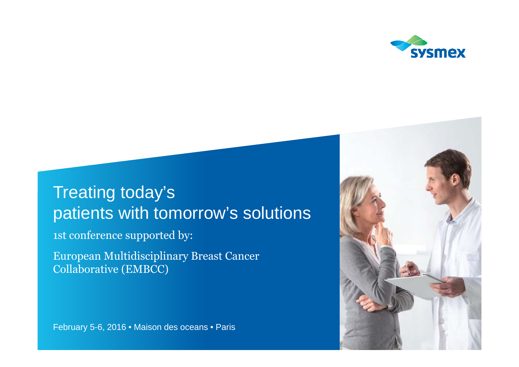

# Treating today's patients with tomorrow's solutions

1st conference supported by:

European Multidisciplinary Breast Cancer Collaborative (EMBCC)

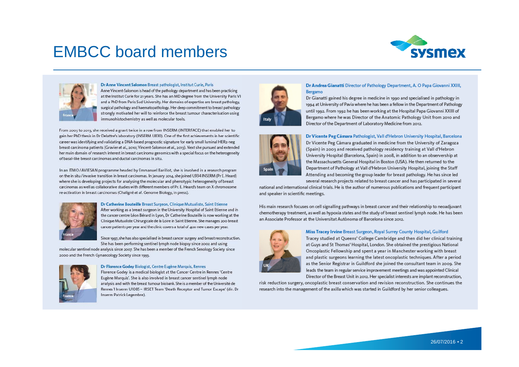## EMBCC board members





#### Dr Anne Vincent Salomon Breast pathologist, Institut Curie, Paris

Anne Vincent-Salomon is head of the pathology department and has been practicing at the Institut Curie for 21 years. She has an MD degree from the University Paris VI and a PhD from Paris Sud University. Her domains of expertise are breast pathology, surgical pathology and haematopathology. Her deep commitment to breast pathology strongly motivated her will to reinforce the breast tumour characterisation using immunohistochemistry as well as molecular tools.

From 2003 to 2013, she received a grant twice in a row from INSERM (INTERFACE) that enabled her to gain her PhD thesis in Dr Delattre's laboratory (INSERM U830). One of the first achievements in her scientific career was identifying and validating a DNA-based prognostic signature for early small luminal HER2-neg breast carcinoma patients (Gravier et al., 2010; Vincent-Salomon et al., 2013). Next she pursued and extended her main domain of research interest in breast carcinoma genomics with a special focus on the heterogeneity of basal-like breast carcinomas and ductal carcinomas in situ.

In an ITMO/AVIESAN programme headed by Emmanuel Barillot, she is involved in a research program on the in situ / invasive transition in breast carcinomas. In January 2014, she joined U934 INSERM (Pr E. Heard) where she is developing projects for analysing the molecular and phenotypic heterogeneity of breast carcinomas as well as collaborative studies with different members of Pr. E. Heard's team on X chromosome re-activation in breast carcinomas (Chaligné et al. Genome Biology, in press).



#### Dr Catherine Bouteille Breast Surgeon, Clinique Mutualiste, Saint Etienne

After working as a breast surgeon in the University Hospital of Saint Etienne and in the cancer centre Léon Bérard in Lyon, Dr Catherine Bouteille is now working at the Clinique Mutualiste Chirurgicale de la Loire in Saint Etienne. She manages 200 breast cancer patients per year and the clinic covers a total of 400 new cases per year.

Since 1997, she has also specialised in breast cancer surgery and breast reconstruction. She has been performing sentinel lymph node biopsy since 2002 and using

molecular sentinel node analysis since 2007. She has been a member of the French Senology Society since 2000 and the French Gynaecology Society since 1993.



#### Dr Florence Godey Biologist, Centre Eugène Marquis, Rennes

Florence Godey is a medical biologist at the Cancer Centre in Rennes 'Centre Eugène Marquis'. She is also involved in breast cancer sentinel lymph node analysis and with the breast tumour biobank. She is a member of the Université de Rennes 1 Inserm U1085 - IRSET Team 'Death Receptor and Tumor Escape' (dir. Dr Inserm Patrick Legembre).



#### Dr Andrea Gianatti Director of Pathology Department, A. O Papa Giovanni XXIII, Bergamo

Dr Gianatti gained his degree in medicine in 1990 and specialised in pathology in 1994 at University of Pavia where he has been a fellow in the Department of Pathology until 1992. From 1992 he has been working at the Hospital Papa Giovanni XXIII of Bergamo where he was Director of the Anatomic Pathology Unit from 2010 and Director of the Department of Laboratory Medicine from 2012.



#### Dr Vicente Peg Cámara Pathologist, Vall d'Hebron University Hospital, Barcelona

Dr Vicente Peg Cámara graduated in medicine from the University of Zaragoza (Spain) in 2003 and received pathology residency training at Vall d'Hebron University Hospital (Barcelona, Spain) in 2008, in addition to an observership at the Massachusetts General Hospital in Boston (USA). He then returned to the Department of Pathology at Vall d'Hebron University Hospital, joining the Staff Attending and becoming the group leader for breast pathology. He has since led several research projects related to breast cancer and has participated in several

national and international clinical trials. He is the author of numerous publications and frequent participant and speaker in scientific meetings.

His main research focuses on cell signalling pathways in breast cancer and their relationship to neoadjuvant chemotherapy treatment, as well as hypoxia states and the study of breast sentinel lymph node. He has been an Associate Professor at the Universitat Autònoma of Barcelona since 2012.



#### Miss Tracey Irvine Breast Surgeon, Royal Surrey County Hospital, Guilford

Tracey studied at Queens' College Cambridge and then did her clinical training at Guys and St Thomas' Hospital, London. She obtained the prestigious National Oncoplastic Fellowship and spent a year in Manchester working with breast and plastic surgeons learning the latest oncoplastic techniques. After a period as the Senior Registrar in Guildford she joined the consultant team in 2009. She leads the team in regular service improvement meetings and was appointed Clinical Director of the Breast Unit in 2012. Her specialist interests are implant reconstruction,

risk reduction surgery, oncoplastic breast conservation and revision reconstruction. She continues the research into the management of the axilla which was started in Guildford by her senior colleagues.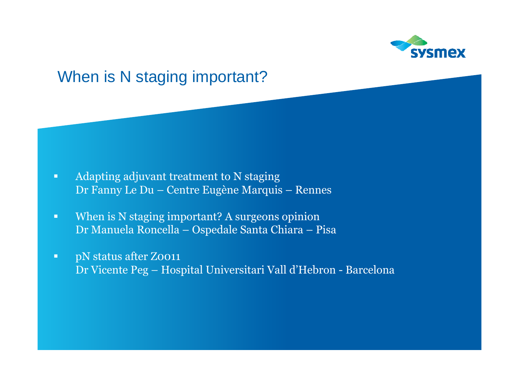

### When is N staging important?

- $\blacksquare$  Adapting adjuvant treatment to N staging Dr Fanny Le Du – Centre Eugène Marquis – Rennes
- $\blacksquare$  When is N staging important? A surgeons opinion Dr Manuela Roncella – Ospedale Santa Chiara – Pisa
- $\blacksquare$  pN status after Z0011 Dr Vicente Peg – Hospital Universitari Vall d'Hebron - Barcelona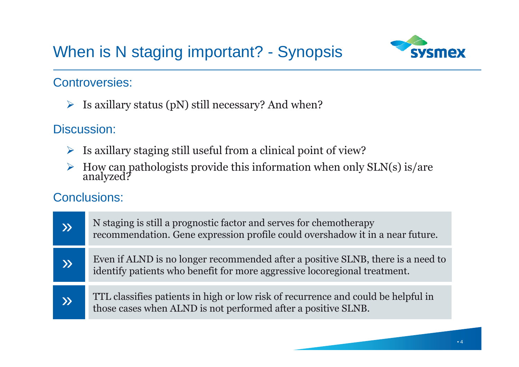# When is N staging important? - Synopsis



### Controversies:

 $\triangleright$  Is axillary status (pN) still necessary? And when?

### Discussion:

- $\triangleright$  Is axillary staging still useful from a clinical point of view?
- $\blacktriangleright$ How can pathologists provide this information when only SLN(s) is/are analyzed?

| $\mathbf{\Sigma}$ | N staging is still a prognostic factor and serves for chemotherapy<br>recommendation. Gene expression profile could overshadow it in a near future.          |
|-------------------|--------------------------------------------------------------------------------------------------------------------------------------------------------------|
| $\lambda$         | Even if ALND is no longer recommended after a positive SLNB, there is a need to<br>identify patients who benefit for more aggressive locoregional treatment. |
| $\lambda$         | TTL classifies patients in high or low risk of recurrence and could be helpful in<br>those cases when ALND is not performed after a positive SLNB.           |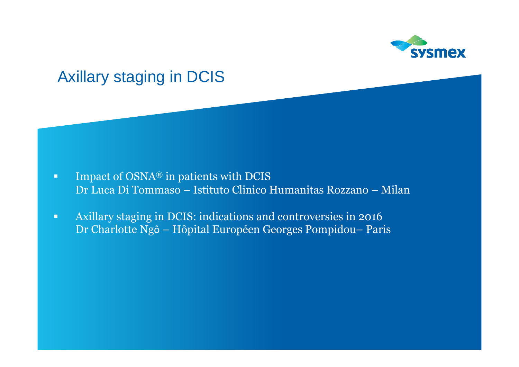

## Axillary staging in DCIS

- $\blacksquare$  Impact of OSNA® in patients with DCIS Dr Luca Di Tommaso – Istituto Clinico Humanitas Rozzano – Milan
- $\blacksquare$  Axillary staging in DCIS: indications and controversies in 2016 Dr Charlotte Ngô – Hôpital Européen Georges Pompidou– Paris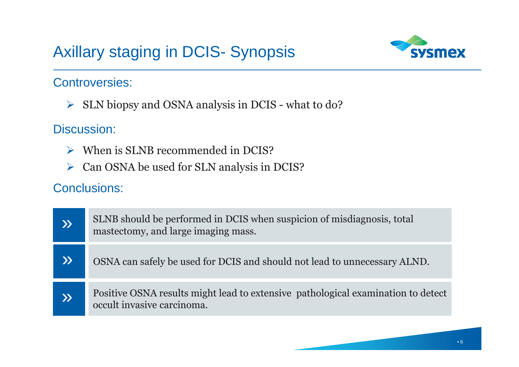# Axillary staging in DCIS- Synopsis



### Controversies:

SLN biopsy and OSNA analysis in DCIS - what to do?

### Discussion:

- When is SLNB recommended in DCIS?
- ▶ Can OSNA be used for SLN analysis in DCIS?

| $\boldsymbol{\mathcal{Y}}$ | SLNB should be performed in DCIS when suspicion of misdiagnosis, total<br>mastectomy, and large imaging mass.  |
|----------------------------|----------------------------------------------------------------------------------------------------------------|
| X)                         | OSNA can safely be used for DCIS and should not lead to unnecessary ALND.                                      |
| $\mathbf{\Sigma}$          | Positive OSNA results might lead to extensive pathological examination to detect<br>occult invasive carcinoma. |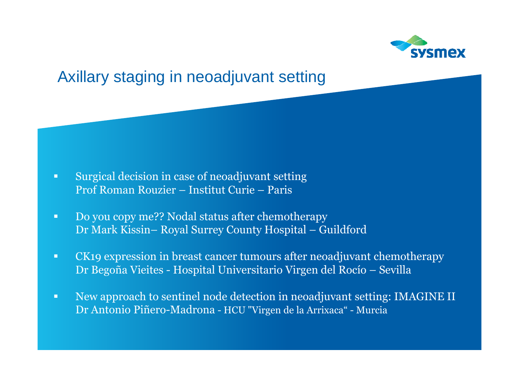

## Axillary staging in neoadjuvant setting

- $\blacksquare$  Surgical decision in case of neoadjuvant setting Prof Roman Rouzier – Institut Curie – Paris
- $\blacksquare$  Do you copy me?? Nodal status after chemotherapy Dr Mark Kissin– Royal Surrey County Hospital – Guildford
- $\blacksquare$  CK19 expression in breast cancer tumours after neoadjuvant chemotherapy Dr Begoña Vieites - Hospital Universitario Virgen del Rocío – Sevilla
- ш New approach to sentinel node detection in neoadjuvant setting: IMAGINE II Dr Antonio Piñero-Madrona - HCU "Virgen de la Arrixaca" - Murcia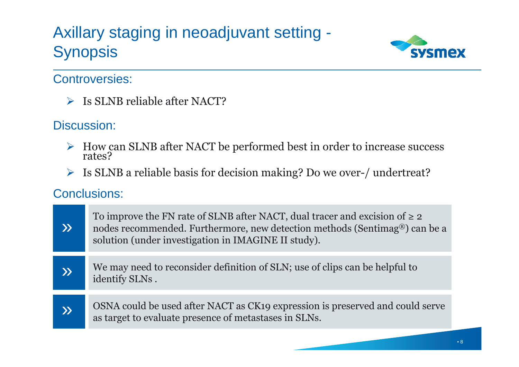# Axillary staging in neoadjuvant setting - **Synopsis**



### Controversies:

SIMB reliable after NACT?

### Discussion:

- How can SLNB after NACT be performed best in order to increase success rates? rates?
- Is SLNB a reliable basis for decision making? Do we over-/ undertreat?

| $\mathbf{\Sigma}$      | To improve the FN rate of SLNB after NACT, dual tracer and excision of $\geq 2$<br>nodes recommended. Furthermore, new detection methods (Sentimag <sup>®</sup> ) can be a<br>solution (under investigation in IMAGINE II study). |
|------------------------|-----------------------------------------------------------------------------------------------------------------------------------------------------------------------------------------------------------------------------------|
| $\lambda$              | We may need to reconsider definition of SLN; use of clips can be helpful to<br>identify SLNs.                                                                                                                                     |
| $\boldsymbol{\lambda}$ | OSNA could be used after NACT as CK19 expression is preserved and could serve<br>as target to evaluate presence of metastases in SLNs.                                                                                            |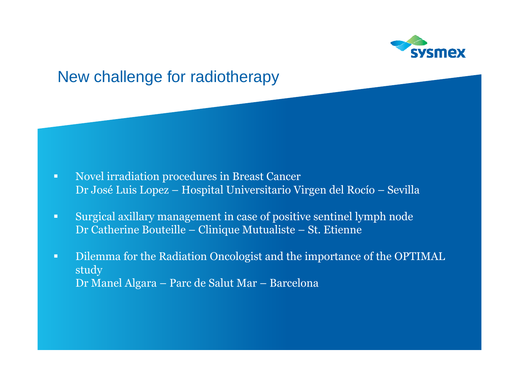



Dr Manel Algara – Parc de Salut Mar – Barcelona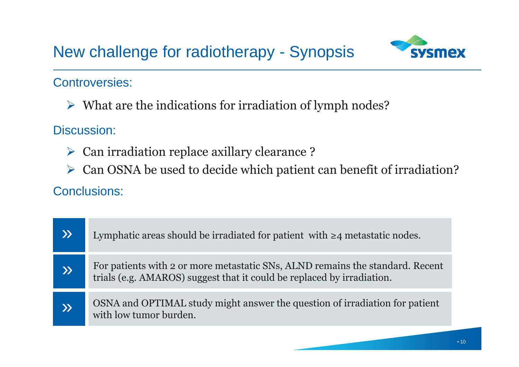

### Controversies:

 $\triangleright$  What are the indications for irradiation of lymph nodes?

Discussion:

- Can irradiation replace axillary clearance ?
- Can OSNA be used to decide which patient can benefit of irradiation?

| $\lambda$     | Lymphatic areas should be irradiated for patient with $\geq 4$ metastatic nodes.                                                                        |
|---------------|---------------------------------------------------------------------------------------------------------------------------------------------------------|
| $\mathcal{Y}$ | For patients with 2 or more metastatic SNs, ALND remains the standard. Recent<br>trials (e.g. AMAROS) suggest that it could be replaced by irradiation. |
| $\lambda$     | OSNA and OPTIMAL study might answer the question of irradiation for patient<br>with low tumor burden.                                                   |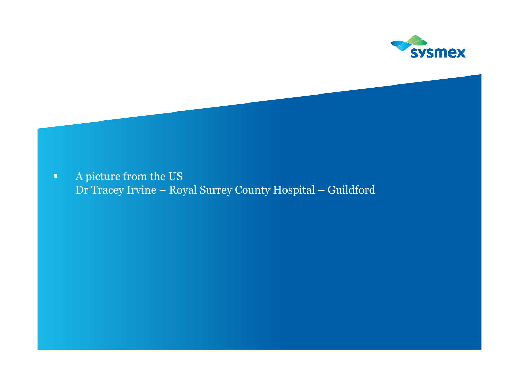

 $\blacksquare$  A picture from the US Dr Tracey Irvine – Royal Surrey County Hospital – Guildford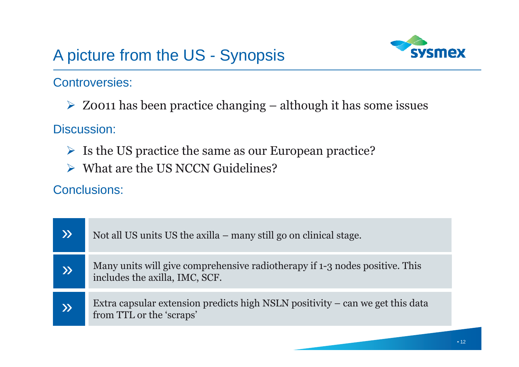# A picture from the US - Synopsis



### Controversies:

 $\triangleright$  Z0011 has been practice changing – although it has some issues

Discussion:

- Is the US practice the same as our European practice?
- **► What are the US NCCN Guidelines?**

|           | Not all US units US the axilla – many still go on clinical stage.                                             |
|-----------|---------------------------------------------------------------------------------------------------------------|
| $\lambda$ | Many units will give comprehensive radiotherapy if 1-3 nodes positive. This<br>includes the axilla, IMC, SCF. |
| $\lambda$ | Extra capsular extension predicts high NSLN positivity – can we get this data<br>from TTL or the 'scraps'     |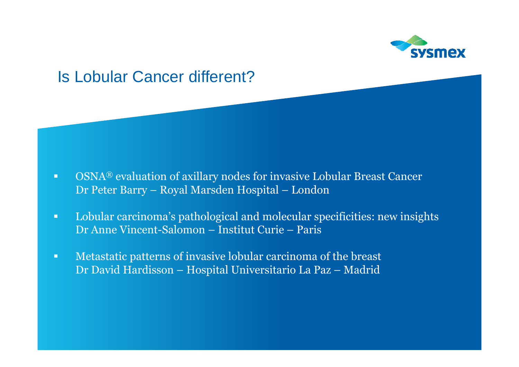

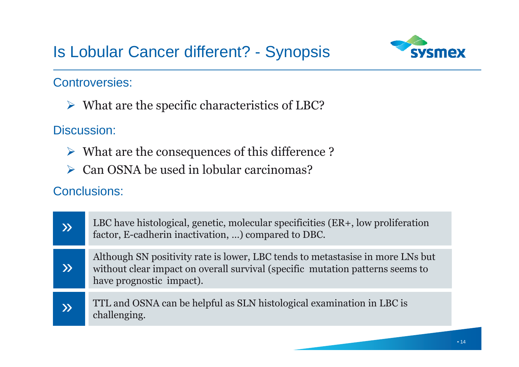## Is Lobular Cancer different? - Synopsis



### Controversies:

 $\triangleright$  What are the specific characteristics of LBC?

### Discussion:

- $\triangleright$  What are the consequences of this difference ?
- Can OSNA be used in lobular carcinomas?

| $\lambda$              | LBC have histological, genetic, molecular specificities (ER+, low proliferation<br>factor, E-cadherin inactivation, ) compared to DBC.                                                      |
|------------------------|---------------------------------------------------------------------------------------------------------------------------------------------------------------------------------------------|
| $\boldsymbol{\lambda}$ | Although SN positivity rate is lower, LBC tends to metastasise in more LNs but<br>without clear impact on overall survival (specific mutation patterns seems to<br>have prognostic impact). |
| X)                     | TTL and OSNA can be helpful as SLN histological examination in LBC is<br>challenging.                                                                                                       |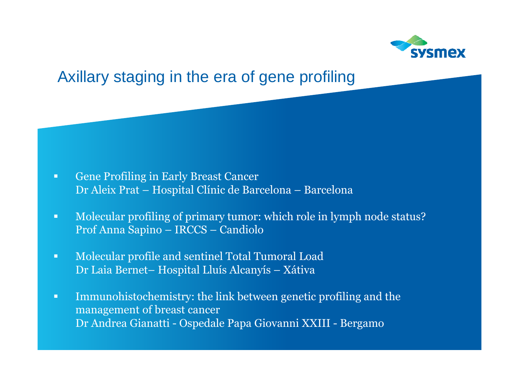

## Axillary staging in the era of gene profiling

- $\blacksquare$  Gene Profiling in Early Breast Cancer Dr Aleix Prat – Hospital Clínic de Barcelona – Barcelona
- $\blacksquare$  Molecular profiling of primary tumor: which role in lymph node status? Prof Anna Sapino – IRCCS – Candiolo
- $\blacksquare$  Molecular profile and sentinel Total Tumoral Load Dr Laia Bernet– Hospital Lluís Alcanyís – Xátiva
- $\blacksquare$  Immunohistochemistry: the link between genetic profiling and the management of breast cancer Dr Andrea Gianatti - Ospedale Papa Giovanni XXIII - Bergamo